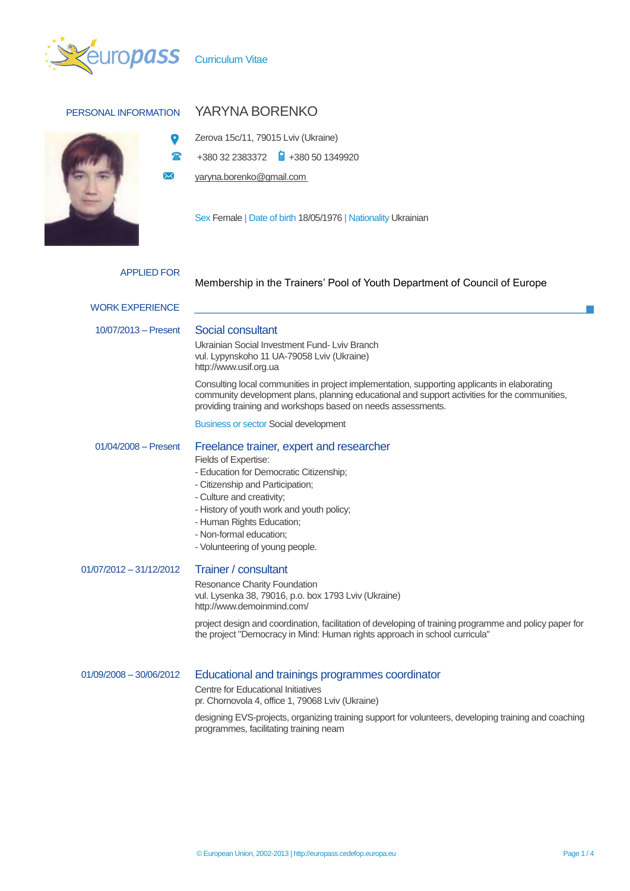

 $\bullet$  $\mathbf{a}$  $\boxtimes$ 



## PERSONAL INFORMATION YARYNA BORENKO

Zerova 15c/11, 79015 Lviv (Ukraine)

+380 32 2383372 +380 50 1349920

yaryna.borenko@gmail.com

Sex Female | Date of birth 18/05/1976 | Nationality Ukrainian

| Membership in the Trainers' Pool of Youth Department of Council of Europe                                                                                                                                                                                                                                                                                                         |
|-----------------------------------------------------------------------------------------------------------------------------------------------------------------------------------------------------------------------------------------------------------------------------------------------------------------------------------------------------------------------------------|
|                                                                                                                                                                                                                                                                                                                                                                                   |
| Social consultant<br>Ukrainian Social Investment Fund-Lviv Branch<br>vul. Lypynskoho 11 UA-79058 Lviv (Ukraine)<br>http://www.usif.org.ua                                                                                                                                                                                                                                         |
| Consulting local communities in project implementation, supporting applicants in elaborating<br>community development plans, planning educational and support activities for the communities,<br>providing training and workshops based on needs assessments.                                                                                                                     |
| <b>Business or sector Social development</b>                                                                                                                                                                                                                                                                                                                                      |
| Freelance trainer, expert and researcher<br>Fields of Expertise:<br>- Education for Democratic Citizenship;<br>- Citizenship and Participation;<br>- Culture and creativity;<br>- History of youth work and youth policy;<br>- Human Rights Education;<br>- Non-formal education;<br>- Volunteering of young people.                                                              |
| Trainer / consultant<br>Resonance Charity Foundation<br>vul. Lysenka 38, 79016, p.o. box 1793 Lviv (Ukraine)<br>http://www.demoinmind.com/<br>project design and coordination, facilitation of developing of training programme and policy paper for                                                                                                                              |
| the project "Democracy in Mind: Human rights approach in school curricula"<br>Educational and trainings programmes coordinator<br><b>Centre for Educational Initiatives</b><br>pr. Chornovola 4, office 1, 79068 Lviv (Ukraine)<br>designing EVS-projects, organizing training support for volunteers, developing training and coaching<br>programmes, facilitating training neam |
|                                                                                                                                                                                                                                                                                                                                                                                   |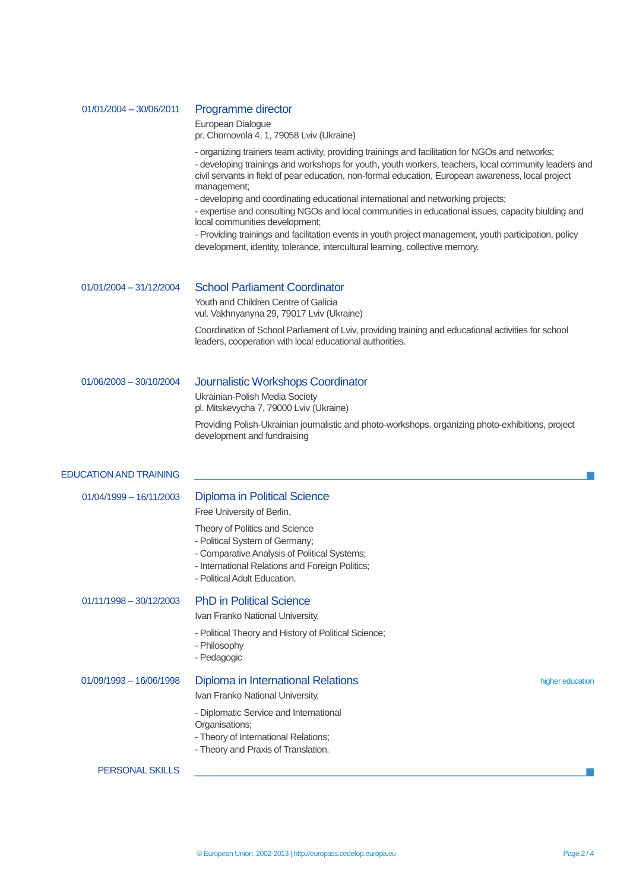| - organizing trainers team activity, providing trainings and facilitation for NGOs and networks;<br>civil servants in field of pear education, non-formal education, European awareness, local project<br>management;<br>- developing and coordinating educational international and networking projects;<br>- expertise and consulting NGOs and local communities in educational issues, capacity biulding and<br>local communities development;<br>- Providing trainings and facilitation events in youth project management, youth participation, policy<br>development, identity, tolerance, intercultural learning, collective memory.<br><b>School Parliament Coordinator</b><br>$01/01/2004 - 31/12/2004$<br>Youth and Children Centre of Galicia<br>vul. Vakhnyanyna 29, 79017 Lviv (Ukraine)<br>Coordination of School Parliament of Lviv, providing training and educational activities for school<br>leaders, cooperation with local educational authorities.<br>Journalistic Workshops Coordinator<br>$01/06/2003 - 30/10/2004$<br>Ukrainian-Polish Media Society<br>pl. Mitskevycha 7, 79000 Lviv (Ukraine)<br>Providing Polish-Ukrainian journalistic and photo-workshops, organizing photo-exhibitions, project<br>development and fundraising<br><b>Diploma in Political Science</b><br>$01/04/1999 - 16/11/2003$<br>Free University of Berlin,<br>Theory of Politics and Science<br>- Political System of Germany;<br>- Comparative Analysis of Political Systems;<br>- International Relations and Foreign Politics;<br>- Political Adult Education.<br><b>PhD in Political Science</b><br>$01/11/1998 - 30/12/2003$<br>Ivan Franko National University,<br>- Political Theory and History of Political Science;<br>- Philosophy<br>- Pedagogic<br>Diploma in International Relations<br>$01/09/1993 - 16/06/1998$<br>higher education<br>Ivan Franko National University,<br>- Diplomatic Service and International<br>Organisations;<br>- Theory of International Relations;<br>- Theory and Praxis of Translation.<br><b>PERSONAL SKILLS</b> | 01/01/2004 - 30/06/2011 | Programme director<br>European Dialogue<br>pr. Chornovola 4, 1, 79058 Lviv (Ukraine)                 |  |  |  |  |
|-------------------------------------------------------------------------------------------------------------------------------------------------------------------------------------------------------------------------------------------------------------------------------------------------------------------------------------------------------------------------------------------------------------------------------------------------------------------------------------------------------------------------------------------------------------------------------------------------------------------------------------------------------------------------------------------------------------------------------------------------------------------------------------------------------------------------------------------------------------------------------------------------------------------------------------------------------------------------------------------------------------------------------------------------------------------------------------------------------------------------------------------------------------------------------------------------------------------------------------------------------------------------------------------------------------------------------------------------------------------------------------------------------------------------------------------------------------------------------------------------------------------------------------------------------------------------------------------------------------------------------------------------------------------------------------------------------------------------------------------------------------------------------------------------------------------------------------------------------------------------------------------------------------------------------------------------------------------------------------------------------------------------------------------------------------------|-------------------------|------------------------------------------------------------------------------------------------------|--|--|--|--|
| <b>EDUCATION AND TRAINING</b>                                                                                                                                                                                                                                                                                                                                                                                                                                                                                                                                                                                                                                                                                                                                                                                                                                                                                                                                                                                                                                                                                                                                                                                                                                                                                                                                                                                                                                                                                                                                                                                                                                                                                                                                                                                                                                                                                                                                                                                                                                     |                         | - developing trainings and workshops for youth, youth workers, teachers, local community leaders and |  |  |  |  |
|                                                                                                                                                                                                                                                                                                                                                                                                                                                                                                                                                                                                                                                                                                                                                                                                                                                                                                                                                                                                                                                                                                                                                                                                                                                                                                                                                                                                                                                                                                                                                                                                                                                                                                                                                                                                                                                                                                                                                                                                                                                                   |                         |                                                                                                      |  |  |  |  |
|                                                                                                                                                                                                                                                                                                                                                                                                                                                                                                                                                                                                                                                                                                                                                                                                                                                                                                                                                                                                                                                                                                                                                                                                                                                                                                                                                                                                                                                                                                                                                                                                                                                                                                                                                                                                                                                                                                                                                                                                                                                                   |                         |                                                                                                      |  |  |  |  |
|                                                                                                                                                                                                                                                                                                                                                                                                                                                                                                                                                                                                                                                                                                                                                                                                                                                                                                                                                                                                                                                                                                                                                                                                                                                                                                                                                                                                                                                                                                                                                                                                                                                                                                                                                                                                                                                                                                                                                                                                                                                                   |                         |                                                                                                      |  |  |  |  |
|                                                                                                                                                                                                                                                                                                                                                                                                                                                                                                                                                                                                                                                                                                                                                                                                                                                                                                                                                                                                                                                                                                                                                                                                                                                                                                                                                                                                                                                                                                                                                                                                                                                                                                                                                                                                                                                                                                                                                                                                                                                                   |                         |                                                                                                      |  |  |  |  |
|                                                                                                                                                                                                                                                                                                                                                                                                                                                                                                                                                                                                                                                                                                                                                                                                                                                                                                                                                                                                                                                                                                                                                                                                                                                                                                                                                                                                                                                                                                                                                                                                                                                                                                                                                                                                                                                                                                                                                                                                                                                                   |                         |                                                                                                      |  |  |  |  |
|                                                                                                                                                                                                                                                                                                                                                                                                                                                                                                                                                                                                                                                                                                                                                                                                                                                                                                                                                                                                                                                                                                                                                                                                                                                                                                                                                                                                                                                                                                                                                                                                                                                                                                                                                                                                                                                                                                                                                                                                                                                                   |                         |                                                                                                      |  |  |  |  |
|                                                                                                                                                                                                                                                                                                                                                                                                                                                                                                                                                                                                                                                                                                                                                                                                                                                                                                                                                                                                                                                                                                                                                                                                                                                                                                                                                                                                                                                                                                                                                                                                                                                                                                                                                                                                                                                                                                                                                                                                                                                                   |                         |                                                                                                      |  |  |  |  |
|                                                                                                                                                                                                                                                                                                                                                                                                                                                                                                                                                                                                                                                                                                                                                                                                                                                                                                                                                                                                                                                                                                                                                                                                                                                                                                                                                                                                                                                                                                                                                                                                                                                                                                                                                                                                                                                                                                                                                                                                                                                                   |                         |                                                                                                      |  |  |  |  |
|                                                                                                                                                                                                                                                                                                                                                                                                                                                                                                                                                                                                                                                                                                                                                                                                                                                                                                                                                                                                                                                                                                                                                                                                                                                                                                                                                                                                                                                                                                                                                                                                                                                                                                                                                                                                                                                                                                                                                                                                                                                                   |                         |                                                                                                      |  |  |  |  |
|                                                                                                                                                                                                                                                                                                                                                                                                                                                                                                                                                                                                                                                                                                                                                                                                                                                                                                                                                                                                                                                                                                                                                                                                                                                                                                                                                                                                                                                                                                                                                                                                                                                                                                                                                                                                                                                                                                                                                                                                                                                                   |                         |                                                                                                      |  |  |  |  |
|                                                                                                                                                                                                                                                                                                                                                                                                                                                                                                                                                                                                                                                                                                                                                                                                                                                                                                                                                                                                                                                                                                                                                                                                                                                                                                                                                                                                                                                                                                                                                                                                                                                                                                                                                                                                                                                                                                                                                                                                                                                                   |                         |                                                                                                      |  |  |  |  |
|                                                                                                                                                                                                                                                                                                                                                                                                                                                                                                                                                                                                                                                                                                                                                                                                                                                                                                                                                                                                                                                                                                                                                                                                                                                                                                                                                                                                                                                                                                                                                                                                                                                                                                                                                                                                                                                                                                                                                                                                                                                                   |                         |                                                                                                      |  |  |  |  |
|                                                                                                                                                                                                                                                                                                                                                                                                                                                                                                                                                                                                                                                                                                                                                                                                                                                                                                                                                                                                                                                                                                                                                                                                                                                                                                                                                                                                                                                                                                                                                                                                                                                                                                                                                                                                                                                                                                                                                                                                                                                                   |                         |                                                                                                      |  |  |  |  |
|                                                                                                                                                                                                                                                                                                                                                                                                                                                                                                                                                                                                                                                                                                                                                                                                                                                                                                                                                                                                                                                                                                                                                                                                                                                                                                                                                                                                                                                                                                                                                                                                                                                                                                                                                                                                                                                                                                                                                                                                                                                                   |                         |                                                                                                      |  |  |  |  |
|                                                                                                                                                                                                                                                                                                                                                                                                                                                                                                                                                                                                                                                                                                                                                                                                                                                                                                                                                                                                                                                                                                                                                                                                                                                                                                                                                                                                                                                                                                                                                                                                                                                                                                                                                                                                                                                                                                                                                                                                                                                                   |                         |                                                                                                      |  |  |  |  |
|                                                                                                                                                                                                                                                                                                                                                                                                                                                                                                                                                                                                                                                                                                                                                                                                                                                                                                                                                                                                                                                                                                                                                                                                                                                                                                                                                                                                                                                                                                                                                                                                                                                                                                                                                                                                                                                                                                                                                                                                                                                                   |                         |                                                                                                      |  |  |  |  |
|                                                                                                                                                                                                                                                                                                                                                                                                                                                                                                                                                                                                                                                                                                                                                                                                                                                                                                                                                                                                                                                                                                                                                                                                                                                                                                                                                                                                                                                                                                                                                                                                                                                                                                                                                                                                                                                                                                                                                                                                                                                                   |                         |                                                                                                      |  |  |  |  |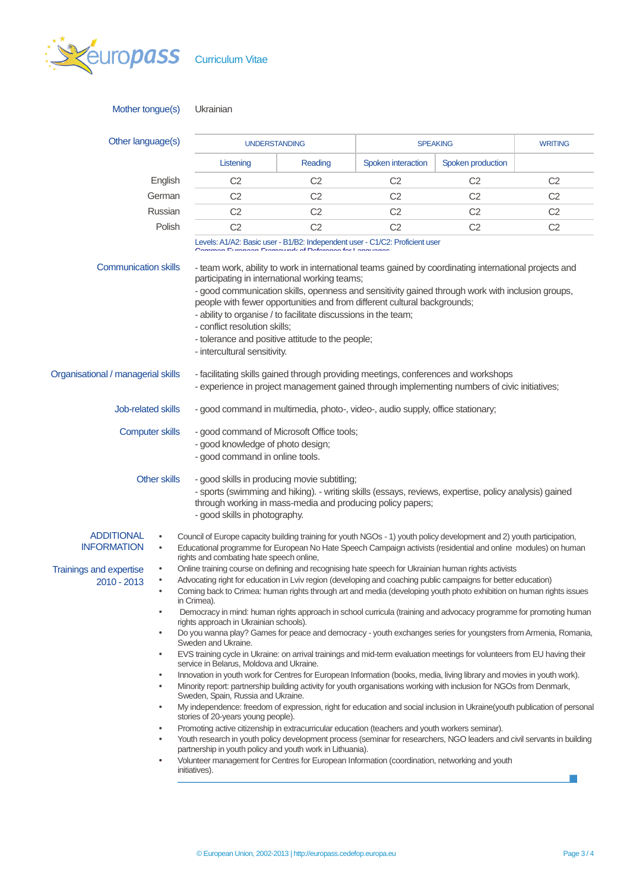

| Mother tongue(s)                                                                                                                                                                                                                                                                                                                                                                                                                                                                                                                                                                                                                                | Ukrainian                                                                                                                                                                                                                                                                                                                                                                                                                                                                                                                                                                                                                                    |                |                    |                   |                |  |  |
|-------------------------------------------------------------------------------------------------------------------------------------------------------------------------------------------------------------------------------------------------------------------------------------------------------------------------------------------------------------------------------------------------------------------------------------------------------------------------------------------------------------------------------------------------------------------------------------------------------------------------------------------------|----------------------------------------------------------------------------------------------------------------------------------------------------------------------------------------------------------------------------------------------------------------------------------------------------------------------------------------------------------------------------------------------------------------------------------------------------------------------------------------------------------------------------------------------------------------------------------------------------------------------------------------------|----------------|--------------------|-------------------|----------------|--|--|
| Other language(s)                                                                                                                                                                                                                                                                                                                                                                                                                                                                                                                                                                                                                               | <b>UNDERSTANDING</b>                                                                                                                                                                                                                                                                                                                                                                                                                                                                                                                                                                                                                         |                | <b>SPEAKING</b>    |                   | <b>WRITING</b> |  |  |
|                                                                                                                                                                                                                                                                                                                                                                                                                                                                                                                                                                                                                                                 | Listening                                                                                                                                                                                                                                                                                                                                                                                                                                                                                                                                                                                                                                    | Reading        | Spoken interaction | Spoken production |                |  |  |
| English                                                                                                                                                                                                                                                                                                                                                                                                                                                                                                                                                                                                                                         | C <sub>2</sub>                                                                                                                                                                                                                                                                                                                                                                                                                                                                                                                                                                                                                               | C <sub>2</sub> | C <sub>2</sub>     | C <sub>2</sub>    | C <sub>2</sub> |  |  |
| German                                                                                                                                                                                                                                                                                                                                                                                                                                                                                                                                                                                                                                          | C <sub>2</sub>                                                                                                                                                                                                                                                                                                                                                                                                                                                                                                                                                                                                                               | C <sub>2</sub> | C <sub>2</sub>     | C <sub>2</sub>    | C <sub>2</sub> |  |  |
| Russian                                                                                                                                                                                                                                                                                                                                                                                                                                                                                                                                                                                                                                         | C <sub>2</sub>                                                                                                                                                                                                                                                                                                                                                                                                                                                                                                                                                                                                                               | C <sub>2</sub> | C <sub>2</sub>     | C <sub>2</sub>    | C <sub>2</sub> |  |  |
| Polish                                                                                                                                                                                                                                                                                                                                                                                                                                                                                                                                                                                                                                          | C <sub>2</sub>                                                                                                                                                                                                                                                                                                                                                                                                                                                                                                                                                                                                                               | C <sub>2</sub> | C <sub>2</sub>     | C <sub>2</sub>    | C <sub>2</sub> |  |  |
|                                                                                                                                                                                                                                                                                                                                                                                                                                                                                                                                                                                                                                                 | Levels: A1/A2: Basic user - B1/B2: Independent user - C1/C2: Proficient user<br>Financial Federational of Datamagnetical                                                                                                                                                                                                                                                                                                                                                                                                                                                                                                                     |                |                    |                   |                |  |  |
|                                                                                                                                                                                                                                                                                                                                                                                                                                                                                                                                                                                                                                                 | <b>Communication skills</b><br>- team work, ability to work in international teams gained by coordinating international projects and<br>participating in international working teams;<br>- good communication skills, openness and sensitivity gained through work with inclusion groups,<br>people with fewer opportunities and from different cultural backgrounds;<br>- ability to organise / to facilitate discussions in the team;<br>- conflict resolution skills;<br>- tolerance and positive attitude to the people;<br>- intercultural sensitivity.                                                                                 |                |                    |                   |                |  |  |
| Organisational / managerial skills                                                                                                                                                                                                                                                                                                                                                                                                                                                                                                                                                                                                              | - facilitating skills gained through providing meetings, conferences and workshops<br>- experience in project management gained through implementing numbers of civic initiatives;                                                                                                                                                                                                                                                                                                                                                                                                                                                           |                |                    |                   |                |  |  |
| <b>Job-related skills</b>                                                                                                                                                                                                                                                                                                                                                                                                                                                                                                                                                                                                                       | - good command in multimedia, photo-, video-, audio supply, office stationary;                                                                                                                                                                                                                                                                                                                                                                                                                                                                                                                                                               |                |                    |                   |                |  |  |
| <b>Computer skills</b>                                                                                                                                                                                                                                                                                                                                                                                                                                                                                                                                                                                                                          | - good command of Microsoft Office tools;<br>- good knowledge of photo design;<br>- good command in online tools.                                                                                                                                                                                                                                                                                                                                                                                                                                                                                                                            |                |                    |                   |                |  |  |
| <b>Other skills</b>                                                                                                                                                                                                                                                                                                                                                                                                                                                                                                                                                                                                                             | - good skills in producing movie subtitling;<br>- sports (swimming and hiking). - writing skills (essays, reviews, expertise, policy analysis) gained<br>through working in mass-media and producing policy papers;<br>- good skills in photography.                                                                                                                                                                                                                                                                                                                                                                                         |                |                    |                   |                |  |  |
| <b>ADDITIONAL</b><br>$\bullet$<br><b>INFORMATION</b><br>$\bullet$                                                                                                                                                                                                                                                                                                                                                                                                                                                                                                                                                                               | Council of Europe capacity building training for youth NGOs - 1) youth policy development and 2) youth participation,<br>Educational programme for European No Hate Speech Campaign activists (residential and online modules) on human<br>rights and combating hate speech online,                                                                                                                                                                                                                                                                                                                                                          |                |                    |                   |                |  |  |
| <b>Trainings and expertise</b><br>2010 - 2013<br>٠<br>٠<br>$\bullet$                                                                                                                                                                                                                                                                                                                                                                                                                                                                                                                                                                            | Online training course on defining and recognising hate speech for Ukrainian human rights activists<br>Advocating right for education in Lviv region (developing and coaching public campaigns for better education)<br>Coming back to Crimea: human rights through art and media (developing youth photo exhibition on human rights issues<br>in Crimea).<br>Democracy in mind: human rights approach in school curricula (training and advocacy programme for promoting human<br>rights approach in Ukrainian schools).<br>Do you wanna play? Games for peace and democracy - youth exchanges series for youngsters from Armenia, Romania, |                |                    |                   |                |  |  |
| Sweden and Ukraine.<br>EVS training cycle in Ukraine: on arrival trainings and mid-term evaluation meetings for volunteers from EU having their<br>$\bullet$<br>service in Belarus, Moldova and Ukraine.<br>Innovation in youth work for Centres for European Information (books, media, living library and movies in youth work).<br>٠<br>Minority report: partnership building activity for youth organisations working with inclusion for NGOs from Denmark,<br>$\bullet$<br>Sweden, Spain, Russia and Ukraine.<br>My independence: freedom of expression, right for education and social inclusion in Ukraine(youth publication of personal |                                                                                                                                                                                                                                                                                                                                                                                                                                                                                                                                                                                                                                              |                |                    |                   |                |  |  |
| $\bullet$<br>$\bullet$<br>$\bullet$<br>$\bullet$                                                                                                                                                                                                                                                                                                                                                                                                                                                                                                                                                                                                | stories of 20-years young people).<br>Promoting active citizenship in extracurricular education (teachers and youth workers seminar).<br>Youth research in youth policy development process (seminar for researchers, NGO leaders and civil servants in building<br>partnership in youth policy and youth work in Lithuania).<br>Volunteer management for Centres for European Information (coordination, networking and youth<br>initiatives).                                                                                                                                                                                              |                |                    |                   |                |  |  |